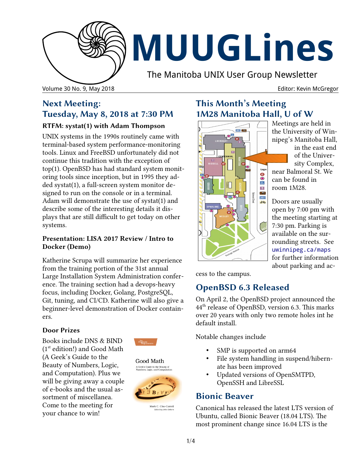

# **MUUGLines**

The Manitoba UNIX User Group Newsletter

Volume 30 No. 9, May 2018 **Editor: Kevin McGregor Editor: Kevin McGregor Editor: Kevin McGregor** 

## **Next Meeting: Tuesday, May 8, 2018 at 7:30 PM**

#### **RTFM: systat(1) with Adam Thompson**

UNIX systems in the 1990s routinely came with terminal-based system performance-monitoring tools. Linux and FreeBSD unfortunately did not continue this tradition with the exception of top(1). OpenBSD has had standard system monitoring tools since inception, but in 1995 they added systat(1), a full-screen system monitor designed to run on the console or in a terminal. Adam will demonstrate the use of systat(1) and describe some of the interesting details it displays that are still difficult to get today on other systems.

#### **Presentation: LISA 2017 Review / Intro to Docker (Demo)**

Katherine Scrupa will summarize her experience from the training portion of the 31st annual Large Installation System Administration conference. The training section had a devops-heavy focus, including Docker, Golang, PostgreSQL, Git, tuning, and CI/CD. Katherine will also give a beginner-level demonstration of Docker containers.

#### **Door Prizes**

Books include DNS & BIND (1st edition!) and Good Math (A Geek's Guide to the Beauty of Numbers, Logic, and Computation). Plus we will be giving away a couple of e-books and the usual assortment of miscellanea. Come to the meeting for your chance to win!



Good Math A Geek's Guide to the Beauty of



Mark C. Chu-Carroll

## **This Month's Meeting 1M28 Manitoba Hall, U of W**



Meetings are held in the University of Winnipeg's Manitoba Hall,

in the east end of the University Complex, near Balmoral St. We can be found in room 1M28.

Doors are usually open by 7:00 pm with the meeting starting at 7:30 pm. Parking is available on the surrounding streets. See [uwinnipeg.ca/maps](http://www.uwinnipeg.ca/maps) for further information about parking and ac-

cess to the campus.

# **OpenBSD 6.3 Released**

On April 2, the OpenBSD project announced the 44th release of OpenBSD, version 6.3. This marks over 20 years with only two remote holes int he default install.

Notable changes include

- SMP is supported on arm64
- File system handling in suspend/hibernate has been improved
- Updated versions of OpenSMTPD, OpenSSH and LibreSSL

## **Bionic Beaver**

Canonical has released the latest LTS version of Ubuntu, called Bionic Beaver (18.04 LTS). The most prominent change since 16.04 LTS is the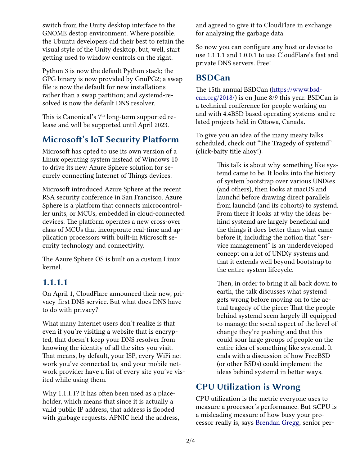switch from the Unity desktop interface to the GNOME destop environment. Where possible, the Ubuntu developers did their best to retain the visual style of the Unity desktop, but, well, start getting used to window controls on the right.

Python 3 is now the default Python stack; the GPG binary is now provided by GnuPG2; a swap file is now the default for new installations rather than a swap partition; and systemd-resolved is now the default DNS resolver.

This is Canonical's  $7<sup>th</sup>$  long-term supported release and will be supported until April 2023.

## **Microsoft's IoT Security Platform**

Microsoft has opted to use its own version of a Linux operating system instead of Windows 10 to drive its new Azure Sphere solution for securely connecting Internet of Things devices.

Microsoft introduced Azure Sphere at the recent RSA security conference in San Francisco. Azure Sphere is a platform that connects microcontroller units, or MCUs, embedded in cloud-connected devices. The platform operates a new cross-over class of MCUs that incorporate real-time and application processors with built-in Microsoft security technology and connectivity.

The Azure Sphere OS is built on a custom Linux kernel.

#### **1.1.1.1**

On April 1, CloudFlare announced their new, privacy-first DNS service. But what does DNS have to do with privacy?

What many Internet users don't realize is that even if you're visiting a website that is encrypted, that doesn't keep your DNS resolver from knowing the identity of all the sites you visit. That means, by default, your ISP, every WiFi network you've connected to, and your mobile network provider have a list of every site you've visited while using them.

Why 1.1.1.1? It has often been used as a placeholder, which means that since it is actually a valid public IP address, that address is flooded with garbage requests. APNIC held the address, and agreed to give it to CloudFlare in exchange for analyzing the garbage data.

So now you can configure any host or device to use 1.1.1.1 and 1.0.0.1 to use CloudFlare's fast and private DNS servers. Free!

#### **BSDCan**

The 15th annual BSDCan [\(https://www.bsd](https://www.bsdcan.org/2018/)[can.org/2018/\)](https://www.bsdcan.org/2018/) is on June 8/9 this year. BSDCan is a technical conference for people working on and with 4.4BSD based operating systems and related projects held in Ottawa, Canada.

To give you an idea of the many meaty talks scheduled, check out "The Tragedy of systemd" (click-baity title ahoy!):

> This talk is about why something like systemd came to be. It looks into the history of system bootstrap over various UNIXes (and others), then looks at macOS and launchd before drawing direct parallels from launchd (and its cohorts) to systemd. From there it looks at why the ideas behind systemd are largely beneficial and the things it does better than what came before it, including the notion that "service management" is an underdeveloped concept on a lot of UNIXy systems and that it extends well beyond bootstrap to the entire system lifecycle.

> Then, in order to bring it all back down to earth, the talk discusses what systemd gets wrong before moving on to the actual tragedy of the piece: That the people behind systemd seem largely ill-equipped to manage the social aspect of the level of change they're pushing and that this could sour large groups of people on the entire idea of something like systemd. It ends with a discussion of how FreeBSD (or other BSDs) could implement the ideas behind systemd in better ways.

## **CPU Utilization is Wrong**

CPU utilization is the metric everyone uses to measure a processor's performance. But %CPU is a misleading measure of how busy your processor really is, says [Brendan Gregg,](https://twitter.com/brendangregg) senior per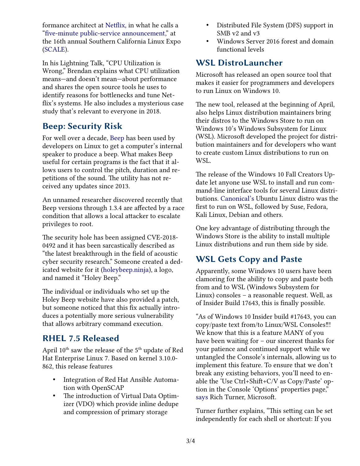formance architect at [Netflix,](https://www.netflix.com/) in what he calls a ["five-minute public-service announcement,](https://youtu.be/QkcBASKLyeU)" at the 16th annual Southern California Linux Expo [\(SCALE\)](https://www.socallinuxexpo.org/scale/16x).

In his Lightning Talk, "CPU Utilization is Wrong," Brendan explains what CPU utilization means—and doesn't mean—about performance and shares the open source tools he uses to identify reasons for bottlenecks and tune Netflix's systems. He also includes a mysterious case study that's relevant to everyone in 2018.

## **Beep: Security Risk**

For well over a decade, [Beep](https://github.com/johnath/beep/) has been used by developers on Linux to get a computer's internal speaker to produce a beep. What makes Beep useful for certain programs is the fact that it allows users to control the pitch, duration and repetitions of the sound. The utility has not received any updates since 2013.

An unnamed researcher discovered recently that Beep versions through 1.3.4 are affected by a race condition that allows a local attacker to escalate privileges to root.

The security hole has been assigned CVE-2018- 0492 and it has been sarcastically described as "the latest breakthrough in the field of acoustic cyber security research." Someone created a dedicated website for it [\(holeybeep.ninja\)](https://holeybeep.ninja/), a logo, and named it "Holey Beep."

The individual or individuals who set up the Holey Beep website have also provided a patch, but someone noticed that this fix actually introduces a potentially more serious vulnerability that allows arbitrary command execution.

## **RHEL 7.5 Released**

April 10<sup>th</sup> saw the release of the 5<sup>th</sup> update of Red Hat Enterprise Linux 7. Based on kernel 3.10.0- 862, this release features

- Integration of Red Hat Ansible Automation with OpenSCAP
- The introduction of Virtual Data Optimizer (VDO) which provide inline dedupe and compression of primary storage
- Distributed File System (DFS) support in SMB v2 and v3
- Windows Server 2016 forest and domain functional levels

# **WSL DistroLauncher**

Microsoft has released an open source tool that makes it easier for programmers and developers to run Linux on Windows 10.

The new tool, released at the beginning of April, also helps Linux distribution maintainers bring their distros to the Windows Store to run on Windows 10's Windows Subsystem for Linux (WSL). Microsoft developed the project for distribution maintainers and for developers who want to create custom Linux distributions to run on WSL.

The release of the Windows 10 Fall Creators Update let anyone use WSL to install and run command-line interface tools for several Linux distributions. [Canonical's](http://www.canonical.com/) Ubuntu Linux distro was the first to run on WSL, followed by Suse, Fedora, Kali Linux, Debian and others.

One key advantage of distributing through the Windows Store is the ability to install multiple Linux distributions and run them side by side.

# **WSL Gets Copy and Paste**

Apparently, some Windows 10 users have been clamoring for the ability to copy and paste both from and to WSL (Windows Subsystem for Linux) consoles – a reasonable request. Well, as of Insider Build 17643, this is finally possible.

"As of Windows 10 Insider build #17643, you can copy/paste text from/to Linux/WSL Consoles!!! We know that this is a feature MANY of you have been waiting for – our sincerest thanks for your patience and continued support while we untangled the Console's internals, allowing us to implement this feature. To ensure that we don't break any existing behaviors, you'll need to enable the 'Use Ctrl+Shift+C/V as Copy/Paste' option in the Console 'Options' properties page," [says](https://blogs.msdn.microsoft.com/commandline/2018/04/13/copy-and-paste-arrives-for-linuxwsl-consoles/) Rich Turner, Microsoft.

Turner further explains, "This setting can be set independently for each shell or shortcut: If you